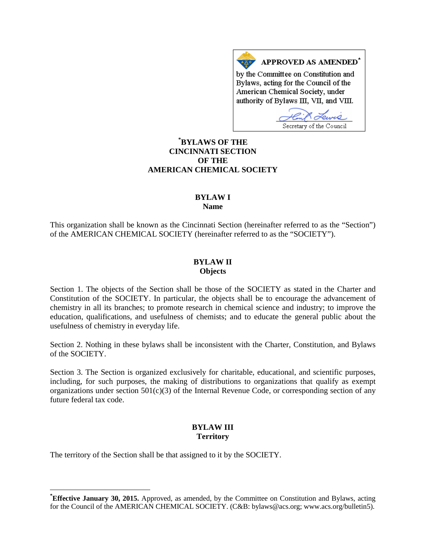APPROVED AS AMENDED\* by the Committee on Constitution and Bylaws, acting for the Council of the American Chemical Society, under authority of Bylaws III, VII, and VIII.

Secretary of the Council

# **[\\*](#page-0-0) BYLAWS OF THE CINCINNATI SECTION OF THE AMERICAN CHEMICAL SOCIETY**

#### **BYLAW I Name**

This organization shall be known as the Cincinnati Section (hereinafter referred to as the "Section") of the AMERICAN CHEMICAL SOCIETY (hereinafter referred to as the "SOCIETY").

### **BYLAW II Objects**

Section 1. The objects of the Section shall be those of the SOCIETY as stated in the Charter and Constitution of the SOCIETY. In particular, the objects shall be to encourage the advancement of chemistry in all its branches; to promote research in chemical science and industry; to improve the education, qualifications, and usefulness of chemists; and to educate the general public about the usefulness of chemistry in everyday life.

Section 2. Nothing in these bylaws shall be inconsistent with the Charter, Constitution, and Bylaws of the SOCIETY.

Section 3. The Section is organized exclusively for charitable, educational, and scientific purposes, including, for such purposes, the making of distributions to organizations that qualify as exempt organizations under section  $501(c)(3)$  of the Internal Revenue Code, or corresponding section of any future federal tax code.

# **BYLAW III Territory**

The territory of the Section shall be that assigned to it by the SOCIETY.

<span id="page-0-0"></span>**\* Effective January 30, 2015.** Approved, as amended, by the Committee on Constitution and Bylaws, acting for the Council of the AMERICAN CHEMICAL SOCIETY. (C&B: bylaws@acs.org; www.acs.org/bulletin5).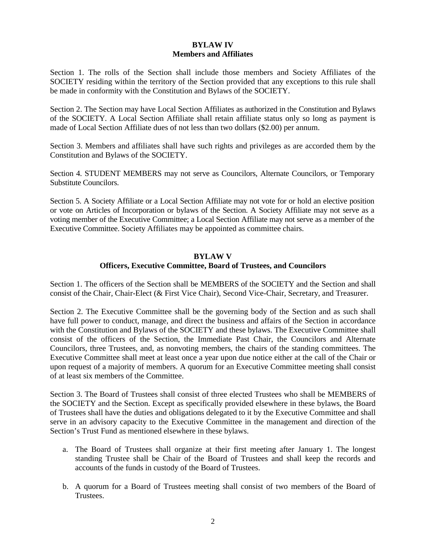## **BYLAW IV Members and Affiliates**

Section 1. The rolls of the Section shall include those members and Society Affiliates of the SOCIETY residing within the territory of the Section provided that any exceptions to this rule shall be made in conformity with the Constitution and Bylaws of the SOCIETY.

Section 2. The Section may have Local Section Affiliates as authorized in the Constitution and Bylaws of the SOCIETY. A Local Section Affiliate shall retain affiliate status only so long as payment is made of Local Section Affiliate dues of not less than two dollars (\$2.00) per annum.

Section 3. Members and affiliates shall have such rights and privileges as are accorded them by the Constitution and Bylaws of the SOCIETY.

Section 4. STUDENT MEMBERS may not serve as Councilors, Alternate Councilors, or Temporary Substitute Councilors.

Section 5. A Society Affiliate or a Local Section Affiliate may not vote for or hold an elective position or vote on Articles of Incorporation or bylaws of the Section. A Society Affiliate may not serve as a voting member of the Executive Committee; a Local Section Affiliate may not serve as a member of the Executive Committee. Society Affiliates may be appointed as committee chairs.

## **BYLAW V Officers, Executive Committee, Board of Trustees, and Councilors**

Section 1. The officers of the Section shall be MEMBERS of the SOCIETY and the Section and shall consist of the Chair, Chair-Elect (& First Vice Chair), Second Vice-Chair, Secretary, and Treasurer.

Section 2. The Executive Committee shall be the governing body of the Section and as such shall have full power to conduct, manage, and direct the business and affairs of the Section in accordance with the Constitution and Bylaws of the SOCIETY and these bylaws. The Executive Committee shall consist of the officers of the Section, the Immediate Past Chair, the Councilors and Alternate Councilors, three Trustees, and, as nonvoting members, the chairs of the standing committees. The Executive Committee shall meet at least once a year upon due notice either at the call of the Chair or upon request of a majority of members. A quorum for an Executive Committee meeting shall consist of at least six members of the Committee.

Section 3. The Board of Trustees shall consist of three elected Trustees who shall be MEMBERS of the SOCIETY and the Section. Except as specifically provided elsewhere in these bylaws, the Board of Trustees shall have the duties and obligations delegated to it by the Executive Committee and shall serve in an advisory capacity to the Executive Committee in the management and direction of the Section's Trust Fund as mentioned elsewhere in these bylaws.

- a. The Board of Trustees shall organize at their first meeting after January 1. The longest standing Trustee shall be Chair of the Board of Trustees and shall keep the records and accounts of the funds in custody of the Board of Trustees.
- b. A quorum for a Board of Trustees meeting shall consist of two members of the Board of Trustees.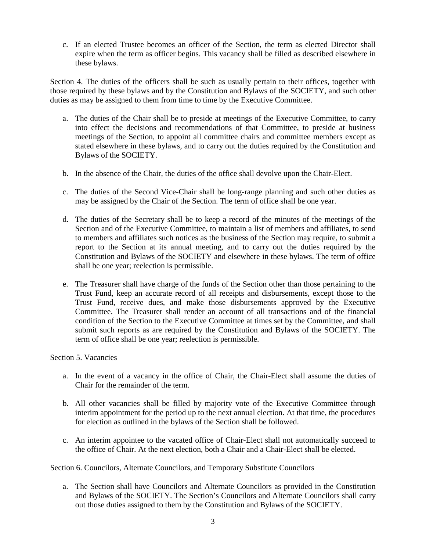c. If an elected Trustee becomes an officer of the Section, the term as elected Director shall expire when the term as officer begins. This vacancy shall be filled as described elsewhere in these bylaws.

Section 4. The duties of the officers shall be such as usually pertain to their offices, together with those required by these bylaws and by the Constitution and Bylaws of the SOCIETY, and such other duties as may be assigned to them from time to time by the Executive Committee.

- a. The duties of the Chair shall be to preside at meetings of the Executive Committee, to carry into effect the decisions and recommendations of that Committee, to preside at business meetings of the Section, to appoint all committee chairs and committee members except as stated elsewhere in these bylaws, and to carry out the duties required by the Constitution and Bylaws of the SOCIETY.
- b. In the absence of the Chair, the duties of the office shall devolve upon the Chair-Elect.
- c. The duties of the Second Vice-Chair shall be long-range planning and such other duties as may be assigned by the Chair of the Section. The term of office shall be one year.
- d. The duties of the Secretary shall be to keep a record of the minutes of the meetings of the Section and of the Executive Committee, to maintain a list of members and affiliates, to send to members and affiliates such notices as the business of the Section may require, to submit a report to the Section at its annual meeting, and to carry out the duties required by the Constitution and Bylaws of the SOCIETY and elsewhere in these bylaws. The term of office shall be one year; reelection is permissible.
- e. The Treasurer shall have charge of the funds of the Section other than those pertaining to the Trust Fund, keep an accurate record of all receipts and disbursements, except those to the Trust Fund, receive dues, and make those disbursements approved by the Executive Committee. The Treasurer shall render an account of all transactions and of the financial condition of the Section to the Executive Committee at times set by the Committee, and shall submit such reports as are required by the Constitution and Bylaws of the SOCIETY. The term of office shall be one year; reelection is permissible.

#### Section 5. Vacancies

- a. In the event of a vacancy in the office of Chair, the Chair-Elect shall assume the duties of Chair for the remainder of the term.
- b. All other vacancies shall be filled by majority vote of the Executive Committee through interim appointment for the period up to the next annual election. At that time, the procedures for election as outlined in the bylaws of the Section shall be followed.
- c. An interim appointee to the vacated office of Chair-Elect shall not automatically succeed to the office of Chair. At the next election, both a Chair and a Chair-Elect shall be elected.

Section 6. Councilors, Alternate Councilors, and Temporary Substitute Councilors

a. The Section shall have Councilors and Alternate Councilors as provided in the Constitution and Bylaws of the SOCIETY. The Section's Councilors and Alternate Councilors shall carry out those duties assigned to them by the Constitution and Bylaws of the SOCIETY.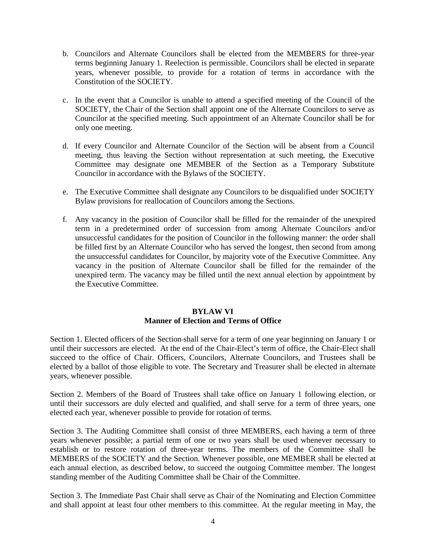- b. Councilors and Alternate Councilors shall be elected from the MEMBERS for three-year terms beginning January 1. Reelection is permissible. Councilors shall be elected in separate years, whenever possible, to provide for a rotation of terms in accordance with the Constitution of the SOCIETY.
- c. In the event that a Councilor is unable to attend a specified meeting of the Council of the SOCIETY, the Chair of the Section shall appoint one of the Alternate Councilors to serve as Councilor at the specified meeting. Such appointment of an Alternate Councilor shall be for only one meeting.
- d. If every Councilor and Alternate Councilor of the Section will be absent from a Council meeting, thus leaving the Section without representation at such meeting, the Executive Committee may designate one MEMBER of the Section as a Temporary Substitute Councilor in accordance with the Bylaws of the SOCIETY.
- e. The Executive Committee shall designate any Councilors to be disqualified under SOCIETY Bylaw provisions for reallocation of Councilors among the Sections.
- f. Any vacancy in the position of Councilor shall be filled for the remainder of the unexpired term in a predetermined order of succession from among Alternate Councilors and/or unsuccessful candidates for the position of Councilor in the following manner: the order shall be filled first by an Alternate Councilor who has served the longest, then second from among the unsuccessful candidates for Councilor, by majority vote of the Executive Committee. Any vacancy in the position of Alternate Councilor shall be filled for the remainder of the unexpired term. The vacancy may be filled until the next annual election by appointment by the Executive Committee.

## **BYLAW VI Manner of Election and Terms of Office**

Section 1. Elected officers of the Section shall serve for a term of one year beginning on January 1 or until their successors are elected. At the end of the Chair-Elect's term of office, the Chair-Elect shall succeed to the office of Chair. Officers, Councilors, Alternate Councilors, and Trustees shall be elected by a ballot of those eligible to vote. The Secretary and Treasurer shall be elected in alternate years, whenever possible.

Section 2. Members of the Board of Trustees shall take office on January 1 following election, or until their successors are duly elected and qualified, and shall serve for a term of three years, one elected each year, whenever possible to provide for rotation of terms.

Section 3. The Auditing Committee shall consist of three MEMBERS, each having a term of three years whenever possible; a partial term of one or two years shall be used whenever necessary to establish or to restore rotation of three-year terms. The members of the Committee shall be MEMBERS of the SOCIETY and the Section. Whenever possible, one MEMBER shall be elected at each annual election, as described below, to succeed the outgoing Committee member. The longest standing member of the Auditing Committee shall be Chair of the Committee.

Section 3. The Immediate Past Chair shall serve as Chair of the Nominating and Election Committee and shall appoint at least four other members to this committee. At the regular meeting in May, the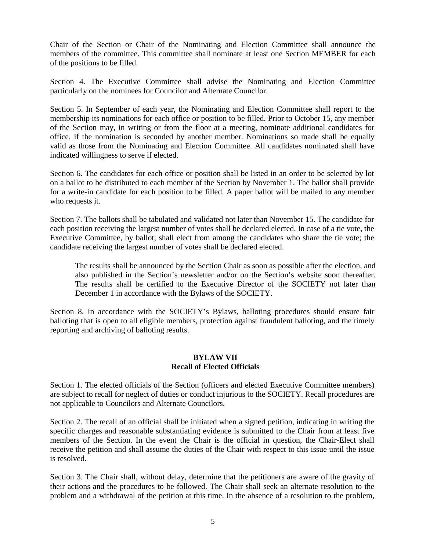Chair of the Section or Chair of the Nominating and Election Committee shall announce the members of the committee. This committee shall nominate at least one Section MEMBER for each of the positions to be filled.

Section 4. The Executive Committee shall advise the Nominating and Election Committee particularly on the nominees for Councilor and Alternate Councilor.

Section 5. In September of each year, the Nominating and Election Committee shall report to the membership its nominations for each office or position to be filled. Prior to October 15, any member of the Section may, in writing or from the floor at a meeting, nominate additional candidates for office, if the nomination is seconded by another member. Nominations so made shall be equally valid as those from the Nominating and Election Committee. All candidates nominated shall have indicated willingness to serve if elected.

Section 6. The candidates for each office or position shall be listed in an order to be selected by lot on a ballot to be distributed to each member of the Section by November 1. The ballot shall provide for a write-in candidate for each position to be filled. A paper ballot will be mailed to any member who requests it.

Section 7. The ballots shall be tabulated and validated not later than November 15. The candidate for each position receiving the largest number of votes shall be declared elected. In case of a tie vote, the Executive Committee, by ballot, shall elect from among the candidates who share the tie vote; the candidate receiving the largest number of votes shall be declared elected.

The results shall be announced by the Section Chair as soon as possible after the election, and also published in the Section's newsletter and/or on the Section's website soon thereafter. The results shall be certified to the Executive Director of the SOCIETY not later than December 1 in accordance with the Bylaws of the SOCIETY.

Section 8. In accordance with the SOCIETY's Bylaws, balloting procedures should ensure fair balloting that is open to all eligible members, protection against fraudulent balloting, and the timely reporting and archiving of balloting results.

### **BYLAW VII Recall of Elected Officials**

Section 1. The elected officials of the Section (officers and elected Executive Committee members) are subject to recall for neglect of duties or conduct injurious to the SOCIETY. Recall procedures are not applicable to Councilors and Alternate Councilors.

Section 2. The recall of an official shall be initiated when a signed petition, indicating in writing the specific charges and reasonable substantiating evidence is submitted to the Chair from at least five members of the Section. In the event the Chair is the official in question, the Chair-Elect shall receive the petition and shall assume the duties of the Chair with respect to this issue until the issue is resolved.

Section 3. The Chair shall, without delay, determine that the petitioners are aware of the gravity of their actions and the procedures to be followed. The Chair shall seek an alternate resolution to the problem and a withdrawal of the petition at this time. In the absence of a resolution to the problem,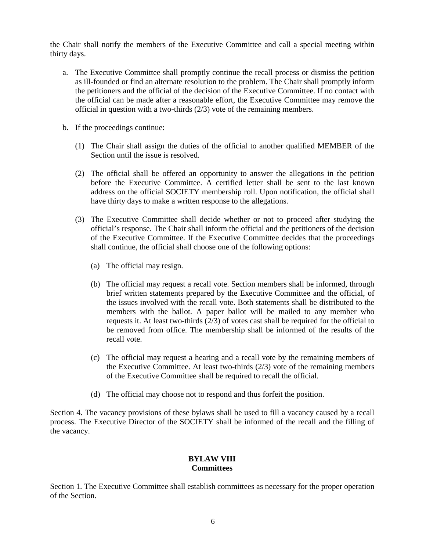the Chair shall notify the members of the Executive Committee and call a special meeting within thirty days.

- a. The Executive Committee shall promptly continue the recall process or dismiss the petition as ill-founded or find an alternate resolution to the problem. The Chair shall promptly inform the petitioners and the official of the decision of the Executive Committee. If no contact with the official can be made after a reasonable effort, the Executive Committee may remove the official in question with a two-thirds (2/3) vote of the remaining members.
- b. If the proceedings continue:
	- (1) The Chair shall assign the duties of the official to another qualified MEMBER of the Section until the issue is resolved.
	- (2) The official shall be offered an opportunity to answer the allegations in the petition before the Executive Committee. A certified letter shall be sent to the last known address on the official SOCIETY membership roll. Upon notification, the official shall have thirty days to make a written response to the allegations.
	- (3) The Executive Committee shall decide whether or not to proceed after studying the official's response. The Chair shall inform the official and the petitioners of the decision of the Executive Committee. If the Executive Committee decides that the proceedings shall continue, the official shall choose one of the following options:
		- (a) The official may resign.
		- (b) The official may request a recall vote. Section members shall be informed, through brief written statements prepared by the Executive Committee and the official, of the issues involved with the recall vote. Both statements shall be distributed to the members with the ballot. A paper ballot will be mailed to any member who requests it. At least two-thirds  $(2/3)$  of votes cast shall be required for the official to be removed from office. The membership shall be informed of the results of the recall vote.
		- (c) The official may request a hearing and a recall vote by the remaining members of the Executive Committee. At least two-thirds  $(2/3)$  vote of the remaining members of the Executive Committee shall be required to recall the official.
		- (d) The official may choose not to respond and thus forfeit the position.

Section 4. The vacancy provisions of these bylaws shall be used to fill a vacancy caused by a recall process. The Executive Director of the SOCIETY shall be informed of the recall and the filling of the vacancy.

#### **BYLAW VIII Committees**

Section 1. The Executive Committee shall establish committees as necessary for the proper operation of the Section.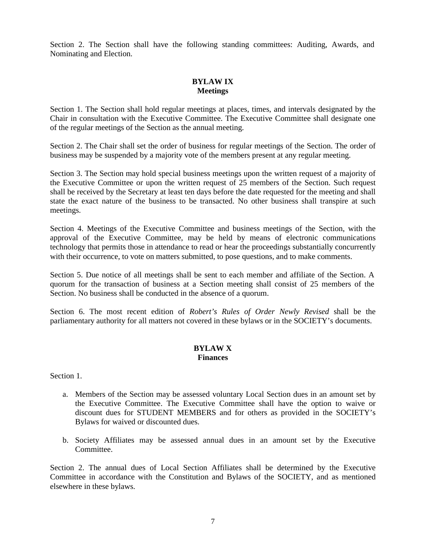Section 2. The Section shall have the following standing committees: Auditing, Awards, and Nominating and Election.

# **BYLAW IX Meetings**

Section 1. The Section shall hold regular meetings at places, times, and intervals designated by the Chair in consultation with the Executive Committee. The Executive Committee shall designate one of the regular meetings of the Section as the annual meeting.

Section 2. The Chair shall set the order of business for regular meetings of the Section. The order of business may be suspended by a majority vote of the members present at any regular meeting.

Section 3. The Section may hold special business meetings upon the written request of a majority of the Executive Committee or upon the written request of 25 members of the Section. Such request shall be received by the Secretary at least ten days before the date requested for the meeting and shall state the exact nature of the business to be transacted. No other business shall transpire at such meetings.

Section 4. Meetings of the Executive Committee and business meetings of the Section, with the approval of the Executive Committee, may be held by means of electronic communications technology that permits those in attendance to read or hear the proceedings substantially concurrently with their occurrence, to vote on matters submitted, to pose questions, and to make comments.

Section 5. Due notice of all meetings shall be sent to each member and affiliate of the Section. A quorum for the transaction of business at a Section meeting shall consist of 25 members of the Section. No business shall be conducted in the absence of a quorum.

Section 6. The most recent edition of *Robert's Rules of Order Newly Revised* shall be the parliamentary authority for all matters not covered in these bylaws or in the SOCIETY's documents.

### **BYLAW X Finances**

Section 1.

- a. Members of the Section may be assessed voluntary Local Section dues in an amount set by the Executive Committee. The Executive Committee shall have the option to waive or discount dues for STUDENT MEMBERS and for others as provided in the SOCIETY's Bylaws for waived or discounted dues.
- b. Society Affiliates may be assessed annual dues in an amount set by the Executive Committee.

Section 2. The annual dues of Local Section Affiliates shall be determined by the Executive Committee in accordance with the Constitution and Bylaws of the SOCIETY, and as mentioned elsewhere in these bylaws.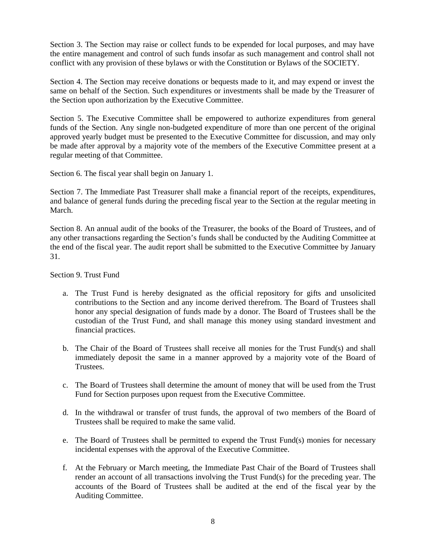Section 3. The Section may raise or collect funds to be expended for local purposes, and may have the entire management and control of such funds insofar as such management and control shall not conflict with any provision of these bylaws or with the Constitution or Bylaws of the SOCIETY.

Section 4. The Section may receive donations or bequests made to it, and may expend or invest the same on behalf of the Section. Such expenditures or investments shall be made by the Treasurer of the Section upon authorization by the Executive Committee.

Section 5. The Executive Committee shall be empowered to authorize expenditures from general funds of the Section. Any single non-budgeted expenditure of more than one percent of the original approved yearly budget must be presented to the Executive Committee for discussion, and may only be made after approval by a majority vote of the members of the Executive Committee present at a regular meeting of that Committee.

Section 6. The fiscal year shall begin on January 1.

Section 7. The Immediate Past Treasurer shall make a financial report of the receipts, expenditures, and balance of general funds during the preceding fiscal year to the Section at the regular meeting in March.

Section 8. An annual audit of the books of the Treasurer, the books of the Board of Trustees, and of any other transactions regarding the Section's funds shall be conducted by the Auditing Committee at the end of the fiscal year. The audit report shall be submitted to the Executive Committee by January 31.

Section 9. Trust Fund

- a. The Trust Fund is hereby designated as the official repository for gifts and unsolicited contributions to the Section and any income derived therefrom. The Board of Trustees shall honor any special designation of funds made by a donor. The Board of Trustees shall be the custodian of the Trust Fund, and shall manage this money using standard investment and financial practices.
- b. The Chair of the Board of Trustees shall receive all monies for the Trust Fund(s) and shall immediately deposit the same in a manner approved by a majority vote of the Board of Trustees.
- c. The Board of Trustees shall determine the amount of money that will be used from the Trust Fund for Section purposes upon request from the Executive Committee.
- d. In the withdrawal or transfer of trust funds, the approval of two members of the Board of Trustees shall be required to make the same valid.
- e. The Board of Trustees shall be permitted to expend the Trust Fund(s) monies for necessary incidental expenses with the approval of the Executive Committee.
- f. At the February or March meeting, the Immediate Past Chair of the Board of Trustees shall render an account of all transactions involving the Trust Fund(s) for the preceding year. The accounts of the Board of Trustees shall be audited at the end of the fiscal year by the Auditing Committee.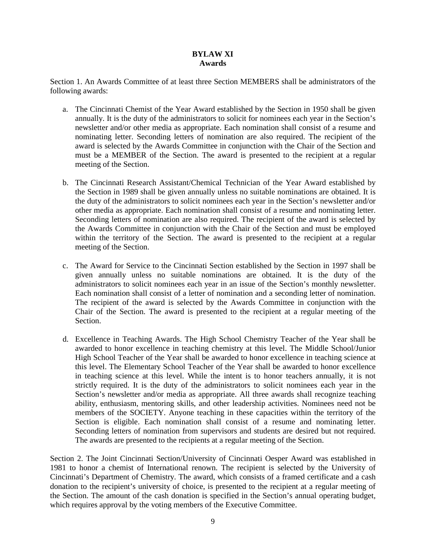## **BYLAW XI Awards**

Section 1. An Awards Committee of at least three Section MEMBERS shall be administrators of the following awards:

- a. The Cincinnati Chemist of the Year Award established by the Section in 1950 shall be given annually. It is the duty of the administrators to solicit for nominees each year in the Section's newsletter and/or other media as appropriate. Each nomination shall consist of a resume and nominating letter. Seconding letters of nomination are also required. The recipient of the award is selected by the Awards Committee in conjunction with the Chair of the Section and must be a MEMBER of the Section. The award is presented to the recipient at a regular meeting of the Section.
- b. The Cincinnati Research Assistant/Chemical Technician of the Year Award established by the Section in 1989 shall be given annually unless no suitable nominations are obtained. It is the duty of the administrators to solicit nominees each year in the Section's newsletter and/or other media as appropriate. Each nomination shall consist of a resume and nominating letter. Seconding letters of nomination are also required. The recipient of the award is selected by the Awards Committee in conjunction with the Chair of the Section and must be employed within the territory of the Section. The award is presented to the recipient at a regular meeting of the Section.
- c. The Award for Service to the Cincinnati Section established by the Section in 1997 shall be given annually unless no suitable nominations are obtained. It is the duty of the administrators to solicit nominees each year in an issue of the Section's monthly newsletter. Each nomination shall consist of a letter of nomination and a seconding letter of nomination. The recipient of the award is selected by the Awards Committee in conjunction with the Chair of the Section. The award is presented to the recipient at a regular meeting of the Section.
- d. Excellence in Teaching Awards. The High School Chemistry Teacher of the Year shall be awarded to honor excellence in teaching chemistry at this level. The Middle School/Junior High School Teacher of the Year shall be awarded to honor excellence in teaching science at this level. The Elementary School Teacher of the Year shall be awarded to honor excellence in teaching science at this level. While the intent is to honor teachers annually, it is not strictly required. It is the duty of the administrators to solicit nominees each year in the Section's newsletter and/or media as appropriate. All three awards shall recognize teaching ability, enthusiasm, mentoring skills, and other leadership activities. Nominees need not be members of the SOCIETY. Anyone teaching in these capacities within the territory of the Section is eligible. Each nomination shall consist of a resume and nominating letter. Seconding letters of nomination from supervisors and students are desired but not required. The awards are presented to the recipients at a regular meeting of the Section.

Section 2. The Joint Cincinnati Section/University of Cincinnati Oesper Award was established in 1981 to honor a chemist of International renown. The recipient is selected by the University of Cincinnati's Department of Chemistry. The award, which consists of a framed certificate and a cash donation to the recipient's university of choice, is presented to the recipient at a regular meeting of the Section. The amount of the cash donation is specified in the Section's annual operating budget, which requires approval by the voting members of the Executive Committee.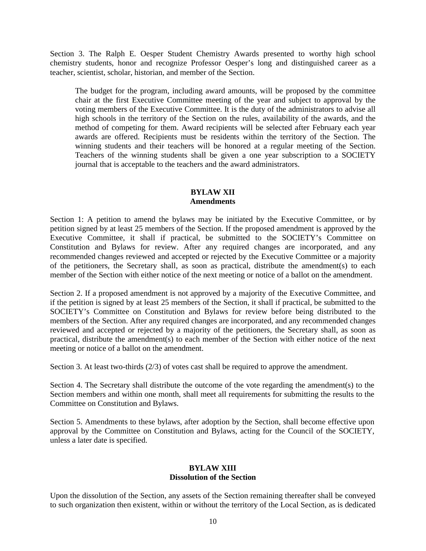Section 3. The Ralph E. Oesper Student Chemistry Awards presented to worthy high school chemistry students, honor and recognize Professor Oesper's long and distinguished career as a teacher, scientist, scholar, historian, and member of the Section.

The budget for the program, including award amounts, will be proposed by the committee chair at the first Executive Committee meeting of the year and subject to approval by the voting members of the Executive Committee. It is the duty of the administrators to advise all high schools in the territory of the Section on the rules, availability of the awards, and the method of competing for them. Award recipients will be selected after February each year awards are offered. Recipients must be residents within the territory of the Section. The winning students and their teachers will be honored at a regular meeting of the Section. Teachers of the winning students shall be given a one year subscription to a SOCIETY journal that is acceptable to the teachers and the award administrators.

# **BYLAW XII Amendments**

Section 1: A petition to amend the bylaws may be initiated by the Executive Committee, or by petition signed by at least 25 members of the Section. If the proposed amendment is approved by the Executive Committee, it shall if practical, be submitted to the SOCIETY's Committee on Constitution and Bylaws for review. After any required changes are incorporated, and any recommended changes reviewed and accepted or rejected by the Executive Committee or a majority of the petitioners, the Secretary shall, as soon as practical, distribute the amendment(s) to each member of the Section with either notice of the next meeting or notice of a ballot on the amendment.

Section 2. If a proposed amendment is not approved by a majority of the Executive Committee, and if the petition is signed by at least 25 members of the Section, it shall if practical, be submitted to the SOCIETY's Committee on Constitution and Bylaws for review before being distributed to the members of the Section. After any required changes are incorporated, and any recommended changes reviewed and accepted or rejected by a majority of the petitioners, the Secretary shall, as soon as practical, distribute the amendment(s) to each member of the Section with either notice of the next meeting or notice of a ballot on the amendment.

Section 3. At least two-thirds (2/3) of votes cast shall be required to approve the amendment.

Section 4. The Secretary shall distribute the outcome of the vote regarding the amendment(s) to the Section members and within one month, shall meet all requirements for submitting the results to the Committee on Constitution and Bylaws.

Section 5. Amendments to these bylaws, after adoption by the Section, shall become effective upon approval by the Committee on Constitution and Bylaws, acting for the Council of the SOCIETY, unless a later date is specified.

## **BYLAW XIII Dissolution of the Section**

Upon the dissolution of the Section, any assets of the Section remaining thereafter shall be conveyed to such organization then existent, within or without the territory of the Local Section, as is dedicated